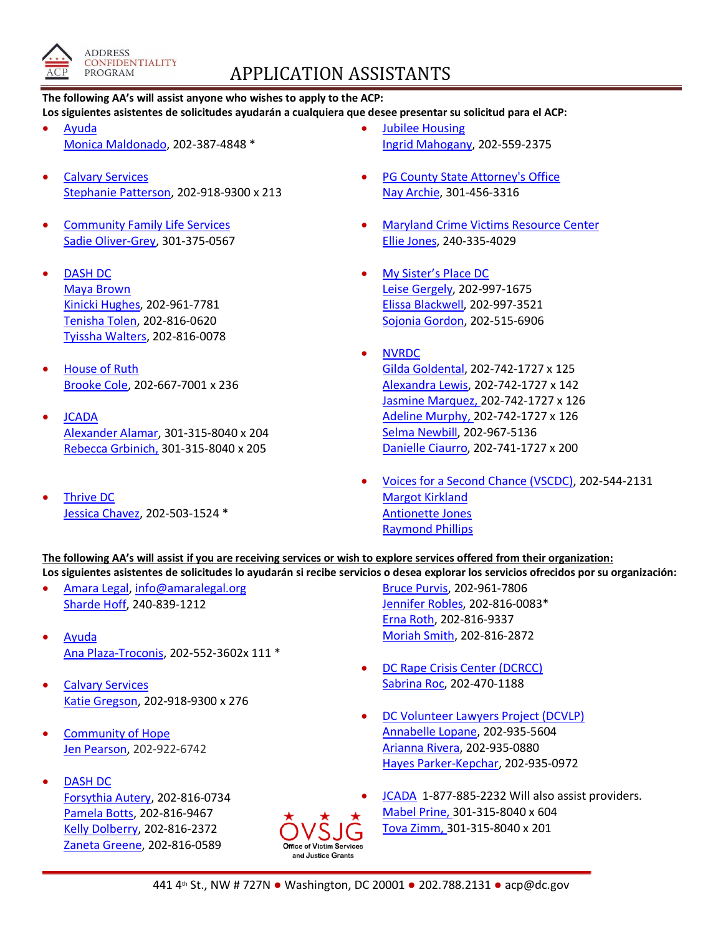

## APPLICATION ASSISTANTS

## **The following AA's will assist anyone who wishes to apply to the ACP:**

**Los siguientes asistentes de solicitudes ayudarán a cualquiera que desee presentar su solicitud para el ACP:**

- [Ayuda](http://www.ayuda.org/) [Monica Maldonado,](mailto:monica.maldonado@ayuda.com?subject=ACP%20Application%20Interest) 202-387-4848 \*
- **[Calvary Services](http://www.calvaryservices.org/)** [Stephanie Patterson,](mailto:spatterson@calvaryservices.org?subject=ACP%20Application%20Interest) 202-918-9300 x 213
- **[Community Family Life Services](https://www.cflsdc.org/)** [Sadie Oliver-Grey,](mailto:sogrey@cflsdc.org?subject=ACP%20Potential%20Applicant) 301-375-0567
- [DASH DC](https://www.dashdc.org/) [Maya Brown](mailto:mbrown@dashdc.org?subject=ACP%20Applicant) [Kinicki Hughes,](mailto:khughes@dashdc.org?subject=ACP%20Applicant) 202-961-7781 [Tenisha Tolen,](mailto:ttolen@dashdc.org?subject=ACP%20Applicant) 202-816-0620 [Tyissha Walters,](mailto:twalters@dashdc.org?subject=ACP%20Applicant) 202-816-0078
- [House of Ruth](https://houseofruth.org/) [Brooke Cole,](mailto:bcole@houseofruth.org?subject=ACP%20Application%20Interest) 202-667-7001 x 236
- [JCADA](https://www.jcada.org/) [Alexander Alamar,](mailto:alexander@jcada.org?subject=ACP%20Interest) 301-315-8040 x 204 [Rebecca Grbinich,](mailto:rebecca@jcada.org) 301-315-8040 x 205
- [Thrive DC](http://www.thrivedc.org/) [Jessica Chavez,](mailto:jessicac@thrivedc.org) 202-503-1524 \*
- **[Jubilee Housing](https://jubileehousing.org/)** [Ingrid Mahogany,](mailto:Imahogany@jubileehousing.org?subject=ACP%20Application) 202-559-2375
- [PG County State Attorney's Office](https://www.princegeorgescountymd.gov/787/VictimWitness-Assistance) [Nay Archie,](mailto:NRTaylorArchie@co.pg.md.us?subject=ACP%20Applicant%20Interest) 301-456-3316
- **[Maryland Crime Victims Resource Center](http://www.mdcrimevictims.org/)** [Ellie Jones,](mailto:elliej@mdcrimevictims.org?subject=ACP) 240-335-4029
- [My Sister's Place DC](http://www.mysistersplacedc.org/) [Leise Gergely,](mailto:lgergely@mysistersplacedc.org) 202-997-1675 [Elissa Blackwell,](mailto:eblackwell@mysistersplacedc.org?subject=ACP%20Application) 202-997-3521 [Sojonia Gordon,](mailto:sgordon@mysistersplacedc.org?subject=ACP%20Application) 202-515-6906
- [NVRDC](https://www.nvrdc.org/) [Gilda Goldental,](mailto:gilda@nvrdc.org?subject=ACP%20Applicant) 202-742-1727 x 125 [Alexandra Lewis,](mailto:alexandra.L@nvrdc.org?subject=ACP%20Potential%20Applicant) 202-742-1727 x 142 [Jasmine Marquez,](mailto:jasmine@nvrdc.org?subject=ACP%20Applicant) 202-742-1727 x 126 [Adeline Murphy,](mailto:adeline@nvrdc.org?subject=ACP%20Applicant) 202-742-1727 x 126 [Selma Newbill,](mailto:selma@nvrdc.org?subject=ACP%20Potential%20Applicant) 202-967-5136 [Danielle Ciaurro,](mailto:advocacy@nvrdc.org?subject=ACP%20Applicant) 202-741-1727 x 200
- [Voices for a Second Chance \(VSCDC\),](https://www.vscdc.org/) 202-544-2131 [Margot Kirkland](mailto:margot@vscdc.org?subject=ACP%20Application) [Antionette Jones](mailto:antionette@vscdc.org?subject=ACP%20Application) [Raymond Phillips](mailto:raymond@vscdc.org?subject=ACP%20Application)

**The following AA's will assist if you are receiving services or wish to explore services offered from their organization: Los siguientes asistentes de solicitudes lo ayudarán si recibe servicios o desea explorar los servicios ofrecidos por su organización:**

- [Amara Legal,](https://www.amaralegal.org/) [info@amaralegal.org](mailto:info@amaralegal.org) [Sharde Hoff,](mailto:sharde.hoff@amaralegal.org?subject=ACP%20Application) 240-839-1212
- [Ayuda](https://www.ayuda.com/) [Ana Plaza-Troconis,](mailto:ana.plaza@ayuda.com) 202-552-3602x 111 \*
- Calvary [Services](http://www.calvaryservices.org/) [Katie Gregson,](mailto:kgregson@calvaryservices.org?subject=ACP%20Application) 202-918-9300 x 276
- [Community of Hope](https://www.communityofhopedc.org/) [Jen Pearson,](mailto:jpearson@cohdc.org?subject=ACP%20Application%20Interest) 202-922-6742
- [DASH DC](https://www.dashdc.org/) [Forsythia Autery,](mailto:fautery@dashdc.org?subject=ACP%20Applicant) 202-816-0734 [Pamela Botts,](mailto:pbotts@dashdc.org?subject=ACP%20Applicant) 202-816-9467 [Kelly Dolberry,](mailto:kdolberry@dashdc.org?subject=ACP%20Applicant) 202-816-2372 [Zaneta Greene,](mailto:zgreene@dashdc.org?subject=ACP%20Applicant) 202-816-0589



[Bruce Purvis,](mailto:bpurvis@dashdc.org?subject=ACP%20Applicant) 202-961-7806 [Jennifer Robles,](mailto:jrobles@dashdc.org?subject=ACP%20Applicant) 202-816-0083\* [Erna Roth,](mailto:eroth@dashdc.org?subject=ACP%20Applicant) 202-816-9337 [Moriah Smith,](mailto:msmith@dashdc.org?subject=ACP%20Applicant) 202-816-2872

- [DC Rape Crisis Center \(DCRCC\)](http://www.dcrcc.org/) [Sabrina Roc,](mailto:sroc@dcrcc.org?subject=ACP%20Interest) 202-470-1188
- [DC Volunteer Lawyers Project \(DCVLP\)](http://www.dcvlp.org/) [Annabelle Lopane,](mailto:alopane@dcvlp.org?subject=ACP%20Applicant) 202-935-5604 [Arianna Rivera,](mailto:arivera@dcvlp.org?subject=ACP%20Applicant) 202-935-0880 [Hayes Parker-Kepchar,](mailto:hparkerkepchar@dcvlp.org?subject=ACP%20Applicant) 202-935-0972
- [JCADA](https://www.jcada.org/) 1-877-885-2232 Will also assist providers. [Mabel Prine,](mailto:mabel@jcada.org) 301-315-8040 x 604 [Tova Zimm,](mailto:tova@jcada.org) 301-315-8040 x 201